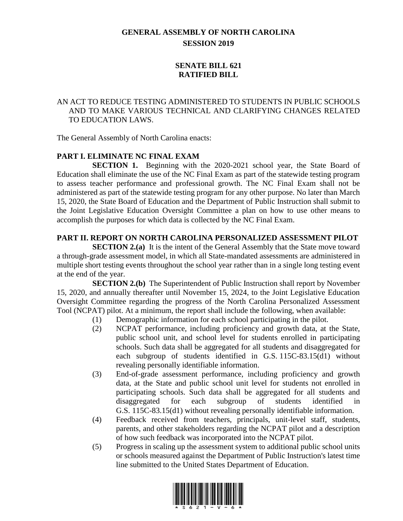# **GENERAL ASSEMBLY OF NORTH CAROLINA SESSION 2019**

## **SENATE BILL 621 RATIFIED BILL**

### AN ACT TO REDUCE TESTING ADMINISTERED TO STUDENTS IN PUBLIC SCHOOLS AND TO MAKE VARIOUS TECHNICAL AND CLARIFYING CHANGES RELATED TO EDUCATION LAWS.

The General Assembly of North Carolina enacts:

## **PART I. ELIMINATE NC FINAL EXAM**

**SECTION 1.** Beginning with the 2020-2021 school year, the State Board of Education shall eliminate the use of the NC Final Exam as part of the statewide testing program to assess teacher performance and professional growth. The NC Final Exam shall not be administered as part of the statewide testing program for any other purpose. No later than March 15, 2020, the State Board of Education and the Department of Public Instruction shall submit to the Joint Legislative Education Oversight Committee a plan on how to use other means to accomplish the purposes for which data is collected by the NC Final Exam.

### **PART II. REPORT ON NORTH CAROLINA PERSONALIZED ASSESSMENT PILOT**

**SECTION 2.(a)** It is the intent of the General Assembly that the State move toward a through-grade assessment model, in which all State-mandated assessments are administered in multiple short testing events throughout the school year rather than in a single long testing event at the end of the year.

**SECTION 2.(b)** The Superintendent of Public Instruction shall report by November 15, 2020, and annually thereafter until November 15, 2024, to the Joint Legislative Education Oversight Committee regarding the progress of the North Carolina Personalized Assessment Tool (NCPAT) pilot. At a minimum, the report shall include the following, when available:

- (1) Demographic information for each school participating in the pilot.
- (2) NCPAT performance, including proficiency and growth data, at the State, public school unit, and school level for students enrolled in participating schools. Such data shall be aggregated for all students and disaggregated for each subgroup of students identified in G.S. 115C-83.15(d1) without revealing personally identifiable information.
- (3) End-of-grade assessment performance, including proficiency and growth data, at the State and public school unit level for students not enrolled in participating schools. Such data shall be aggregated for all students and disaggregated for each subgroup of students identified in G.S. 115C-83.15(d1) without revealing personally identifiable information.
- (4) Feedback received from teachers, principals, unit-level staff, students, parents, and other stakeholders regarding the NCPAT pilot and a description of how such feedback was incorporated into the NCPAT pilot.
- (5) Progress in scaling up the assessment system to additional public school units or schools measured against the Department of Public Instruction's latest time line submitted to the United States Department of Education.

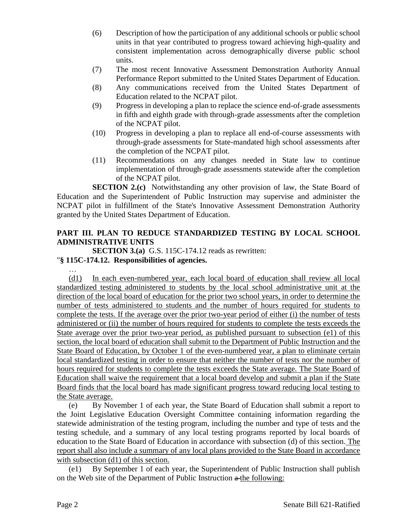- (6) Description of how the participation of any additional schools or public school units in that year contributed to progress toward achieving high-quality and consistent implementation across demographically diverse public school units.
- (7) The most recent Innovative Assessment Demonstration Authority Annual Performance Report submitted to the United States Department of Education.
- (8) Any communications received from the United States Department of Education related to the NCPAT pilot.
- (9) Progress in developing a plan to replace the science end-of-grade assessments in fifth and eighth grade with through-grade assessments after the completion of the NCPAT pilot.
- (10) Progress in developing a plan to replace all end-of-course assessments with through-grade assessments for State-mandated high school assessments after the completion of the NCPAT pilot.
- (11) Recommendations on any changes needed in State law to continue implementation of through-grade assessments statewide after the completion of the NCPAT pilot.

**SECTION 2.(c)** Notwithstanding any other provision of law, the State Board of Education and the Superintendent of Public Instruction may supervise and administer the NCPAT pilot in fulfillment of the State's Innovative Assessment Demonstration Authority granted by the United States Department of Education.

## **PART III. PLAN TO REDUCE STANDARDIZED TESTING BY LOCAL SCHOOL ADMINISTRATIVE UNITS**

**SECTION 3.(a)** G.S. 115C-174.12 reads as rewritten:

## "**§ 115C-174.12. Responsibilities of agencies.**

… (d1) In each even-numbered year, each local board of education shall review all local standardized testing administered to students by the local school administrative unit at the direction of the local board of education for the prior two school years, in order to determine the number of tests administered to students and the number of hours required for students to complete the tests. If the average over the prior two-year period of either (i) the number of tests administered or (ii) the number of hours required for students to complete the tests exceeds the State average over the prior two-year period, as published pursuant to subsection (e1) of this section, the local board of education shall submit to the Department of Public Instruction and the State Board of Education, by October 1 of the even-numbered year, a plan to eliminate certain local standardized testing in order to ensure that neither the number of tests nor the number of hours required for students to complete the tests exceeds the State average. The State Board of Education shall waive the requirement that a local board develop and submit a plan if the State Board finds that the local board has made significant progress toward reducing local testing to the State average.

(e) By November 1 of each year, the State Board of Education shall submit a report to the Joint Legislative Education Oversight Committee containing information regarding the statewide administration of the testing program, including the number and type of tests and the testing schedule, and a summary of any local testing programs reported by local boards of education to the State Board of Education in accordance with subsection (d) of this section. The report shall also include a summary of any local plans provided to the State Board in accordance with subsection (d1) of this section.

(e1) By September 1 of each year, the Superintendent of Public Instruction shall publish on the Web site of the Department of Public Instruction  $a$ -the following: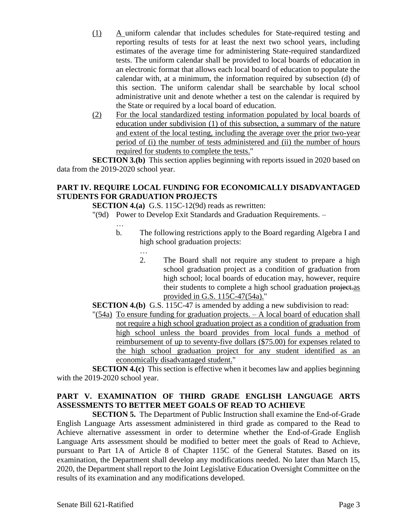- (1) A uniform calendar that includes schedules for State-required testing and reporting results of tests for at least the next two school years, including estimates of the average time for administering State-required standardized tests. The uniform calendar shall be provided to local boards of education in an electronic format that allows each local board of education to populate the calendar with, at a minimum, the information required by subsection (d) of this section. The uniform calendar shall be searchable by local school administrative unit and denote whether a test on the calendar is required by the State or required by a local board of education.
- (2) For the local standardized testing information populated by local boards of education under subdivision (1) of this subsection, a summary of the nature and extent of the local testing, including the average over the prior two-year period of (i) the number of tests administered and (ii) the number of hours required for students to complete the tests."

**SECTION 3.(b)** This section applies beginning with reports issued in 2020 based on data from the 2019-2020 school year.

### **PART IV. REQUIRE LOCAL FUNDING FOR ECONOMICALLY DISADVANTAGED STUDENTS FOR GRADUATION PROJECTS**

**SECTION 4.(a)** G.S. 115C-12(9d) reads as rewritten:

"(9d) Power to Develop Exit Standards and Graduation Requirements. –

- …
- b. The following restrictions apply to the Board regarding Algebra I and high school graduation projects:
	- …
	- 2. The Board shall not require any student to prepare a high school graduation project as a condition of graduation from high school; local boards of education may, however, require their students to complete a high school graduation project.as provided in G.S. 115C-47(54a)."
- **SECTION 4.(b)** G.S. 115C-47 is amended by adding a new subdivision to read:
- "(54a) To ensure funding for graduation projects. A local board of education shall not require a high school graduation project as a condition of graduation from high school unless the board provides from local funds a method of reimbursement of up to seventy-five dollars (\$75.00) for expenses related to the high school graduation project for any student identified as an economically disadvantaged student."

**SECTION 4.(c)** This section is effective when it becomes law and applies beginning with the 2019-2020 school year.

## **PART V. EXAMINATION OF THIRD GRADE ENGLISH LANGUAGE ARTS ASSESSMENTS TO BETTER MEET GOALS OF READ TO ACHIEVE**

**SECTION 5.** The Department of Public Instruction shall examine the End-of-Grade English Language Arts assessment administered in third grade as compared to the Read to Achieve alternative assessment in order to determine whether the End-of-Grade English Language Arts assessment should be modified to better meet the goals of Read to Achieve, pursuant to Part 1A of Article 8 of Chapter 115C of the General Statutes. Based on its examination, the Department shall develop any modifications needed. No later than March 15, 2020, the Department shall report to the Joint Legislative Education Oversight Committee on the results of its examination and any modifications developed.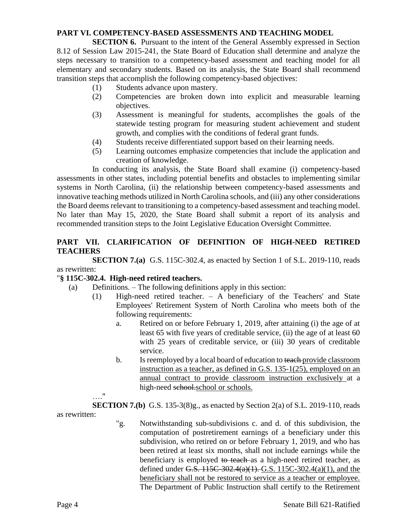#### **PART VI. COMPETENCY-BASED ASSESSMENTS AND TEACHING MODEL**

**SECTION 6.** Pursuant to the intent of the General Assembly expressed in Section 8.12 of Session Law 2015-241, the State Board of Education shall determine and analyze the steps necessary to transition to a competency-based assessment and teaching model for all elementary and secondary students. Based on its analysis, the State Board shall recommend transition steps that accomplish the following competency-based objectives:

- (1) Students advance upon mastery.
- (2) Competencies are broken down into explicit and measurable learning objectives.
- (3) Assessment is meaningful for students, accomplishes the goals of the statewide testing program for measuring student achievement and student growth, and complies with the conditions of federal grant funds.
- (4) Students receive differentiated support based on their learning needs.
- (5) Learning outcomes emphasize competencies that include the application and creation of knowledge.

In conducting its analysis, the State Board shall examine (i) competency-based assessments in other states, including potential benefits and obstacles to implementing similar systems in North Carolina, (ii) the relationship between competency-based assessments and innovative teaching methods utilized in North Carolina schools, and (iii) any other considerations the Board deems relevant to transitioning to a competency-based assessment and teaching model. No later than May 15, 2020, the State Board shall submit a report of its analysis and recommended transition steps to the Joint Legislative Education Oversight Committee.

### **PART VII. CLARIFICATION OF DEFINITION OF HIGH-NEED RETIRED TEACHERS**

**SECTION 7.(a)** G.S. 115C-302.4, as enacted by Section 1 of S.L. 2019-110, reads as rewritten:

### "**§ 115C-302.4. High-need retired teachers.**

- (a) Definitions. The following definitions apply in this section:
	- (1) High-need retired teacher. A beneficiary of the Teachers' and State Employees' Retirement System of North Carolina who meets both of the following requirements:
		- a. Retired on or before February 1, 2019, after attaining (i) the age of at least 65 with five years of creditable service, (ii) the age of at least 60 with 25 years of creditable service, or (iii) 30 years of creditable service.
		- b. Is reemployed by a local board of education to teach provide classroom instruction as a teacher, as defined in G.S. 135-1(25), employed on an annual contract to provide classroom instruction exclusively at a high-need school.school or schools.
	- …."

**SECTION 7.(b)** G.S. 135-3(8)g., as enacted by Section 2(a) of S.L. 2019-110, reads as rewritten:

> "g. Notwithstanding sub-subdivisions c. and d. of this subdivision, the computation of postretirement earnings of a beneficiary under this subdivision, who retired on or before February 1, 2019, and who has been retired at least six months, shall not include earnings while the beneficiary is employed to teach as a high-need retired teacher, as defined under G.S.  $115C-302.4(a)(1)$ . G.S.  $115C-302.4(a)(1)$ , and the beneficiary shall not be restored to service as a teacher or employee. The Department of Public Instruction shall certify to the Retirement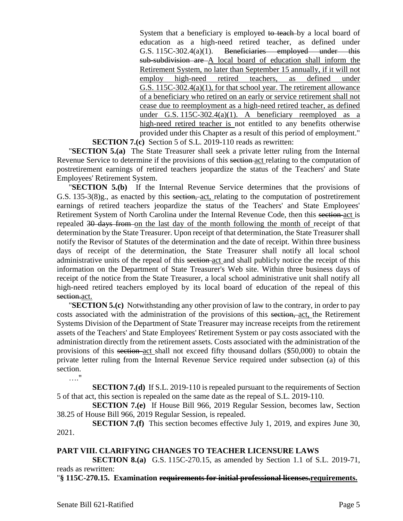System that a beneficiary is employed to teach by a local board of education as a high-need retired teacher, as defined under G.S. 115C-302.4(a)(1). Beneficiaries employed under this sub-subdivision are A local board of education shall inform the Retirement System, no later than September 15 annually, if it will not employ high-need retired teachers, as defined under G.S. 115C-302.4(a)(1), for that school year. The retirement allowance of a beneficiary who retired on an early or service retirement shall not cease due to reemployment as a high-need retired teacher, as defined under G.S. 115C-302.4(a)(1). A beneficiary reemployed as a high-need retired teacher is not entitled to any benefits otherwise provided under this Chapter as a result of this period of employment." **SECTION 7.(c)** Section 5 of S.L. 2019-110 reads as rewritten:

"**SECTION 5.(a)** The State Treasurer shall seek a private letter ruling from the Internal Revenue Service to determine if the provisions of this section act relating to the computation of postretirement earnings of retired teachers jeopardize the status of the Teachers' and State Employees' Retirement System.

"**SECTION 5.(b)** If the Internal Revenue Service determines that the provisions of G.S. 135-3(8)g., as enacted by this section, act, relating to the computation of postretirement earnings of retired teachers jeopardize the status of the Teachers' and State Employees' Retirement System of North Carolina under the Internal Revenue Code, then this section act is repealed 30 days from on the last day of the month following the month of receipt of that determination by the State Treasurer. Upon receipt of that determination, the State Treasurer shall notify the Revisor of Statutes of the determination and the date of receipt. Within three business days of receipt of the determination, the State Treasurer shall notify all local school administrative units of the repeal of this section act and shall publicly notice the receipt of this information on the Department of State Treasurer's Web site. Within three business days of receipt of the notice from the State Treasurer, a local school administrative unit shall notify all high-need retired teachers employed by its local board of education of the repeal of this section.act.

"**SECTION 5.(c)** Notwithstanding any other provision of law to the contrary, in order to pay costs associated with the administration of the provisions of this section, act, the Retirement Systems Division of the Department of State Treasurer may increase receipts from the retirement assets of the Teachers' and State Employees' Retirement System or pay costs associated with the administration directly from the retirement assets. Costs associated with the administration of the provisions of this section act shall not exceed fifty thousand dollars (\$50,000) to obtain the private letter ruling from the Internal Revenue Service required under subsection (a) of this section.

…."

**SECTION 7.(d)** If S.L. 2019-110 is repealed pursuant to the requirements of Section 5 of that act, this section is repealed on the same date as the repeal of S.L. 2019-110.

**SECTION 7.(e)** If House Bill 966, 2019 Regular Session, becomes law, Section 38.25 of House Bill 966, 2019 Regular Session, is repealed.

**SECTION 7.(f)** This section becomes effective July 1, 2019, and expires June 30, 2021.

### **PART VIII. CLARIFYING CHANGES TO TEACHER LICENSURE LAWS**

**SECTION 8.(a)** G.S. 115C-270.15, as amended by Section 1.1 of S.L. 2019-71, reads as rewritten:

"**§ 115C-270.15. Examination requirements for initial professional licenses.requirements.**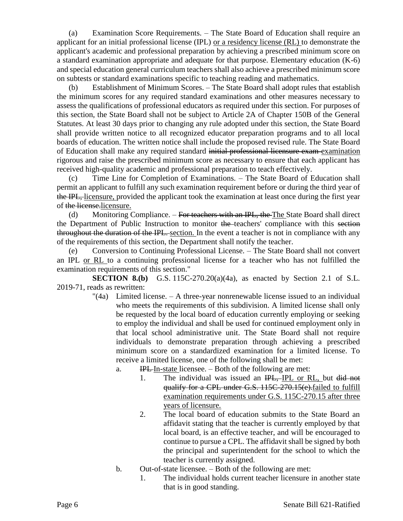(a) Examination Score Requirements. – The State Board of Education shall require an applicant for an initial professional license (IPL) or a residency license (RL) to demonstrate the applicant's academic and professional preparation by achieving a prescribed minimum score on a standard examination appropriate and adequate for that purpose. Elementary education (K-6) and special education general curriculum teachers shall also achieve a prescribed minimum score on subtests or standard examinations specific to teaching reading and mathematics.

(b) Establishment of Minimum Scores. – The State Board shall adopt rules that establish the minimum scores for any required standard examinations and other measures necessary to assess the qualifications of professional educators as required under this section. For purposes of this section, the State Board shall not be subject to Article 2A of Chapter 150B of the General Statutes. At least 30 days prior to changing any rule adopted under this section, the State Board shall provide written notice to all recognized educator preparation programs and to all local boards of education. The written notice shall include the proposed revised rule. The State Board of Education shall make any required standard initial professional licensure exam examination rigorous and raise the prescribed minimum score as necessary to ensure that each applicant has received high-quality academic and professional preparation to teach effectively.

Time Line for Completion of Examinations. – The State Board of Education shall permit an applicant to fulfill any such examination requirement before or during the third year of the IPL, licensure, provided the applicant took the examination at least once during the first year of the license.licensure.

(d) Monitoring Compliance.  $-$  For teachers with an IPL, the The State Board shall direct the Department of Public Instruction to monitor the teachers' compliance with this section throughout the duration of the IPL. section. In the event a teacher is not in compliance with any of the requirements of this section, the Department shall notify the teacher.

(e) Conversion to Continuing Professional License. – The State Board shall not convert an IPL or RL to a continuing professional license for a teacher who has not fulfilled the examination requirements of this section."

**SECTION 8.(b)** G.S. 115C-270.20(a)(4a), as enacted by Section 2.1 of S.L. 2019-71, reads as rewritten:

- "(4a) Limited license. A three-year nonrenewable license issued to an individual who meets the requirements of this subdivision. A limited license shall only be requested by the local board of education currently employing or seeking to employ the individual and shall be used for continued employment only in that local school administrative unit. The State Board shall not require individuals to demonstrate preparation through achieving a prescribed minimum score on a standardized examination for a limited license. To receive a limited license, one of the following shall be met:
	- a. IPL In-state licensee. Both of the following are met:
		- 1. The individual was issued an IPL, IPL or RL, but did not qualify for a CPL under G.S. 115C-270.15(e).failed to fulfill examination requirements under G.S. 115C-270.15 after three years of licensure.
		- 2. The local board of education submits to the State Board an affidavit stating that the teacher is currently employed by that local board, is an effective teacher, and will be encouraged to continue to pursue a CPL. The affidavit shall be signed by both the principal and superintendent for the school to which the teacher is currently assigned.
	- b. Out-of-state licensee. Both of the following are met:
		- 1. The individual holds current teacher licensure in another state that is in good standing.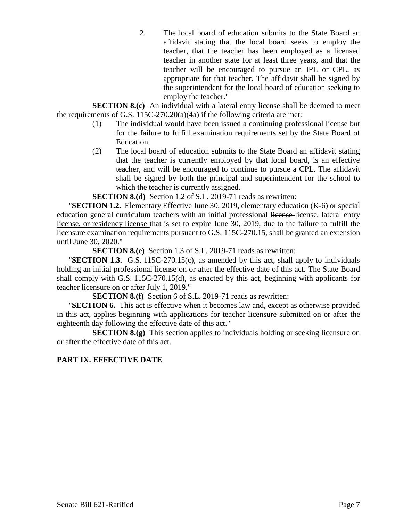2. The local board of education submits to the State Board an affidavit stating that the local board seeks to employ the teacher, that the teacher has been employed as a licensed teacher in another state for at least three years, and that the teacher will be encouraged to pursue an IPL or CPL, as appropriate for that teacher. The affidavit shall be signed by the superintendent for the local board of education seeking to employ the teacher."

**SECTION 8.(c)** An individual with a lateral entry license shall be deemed to meet the requirements of G.S.  $115C-270.20(a)(4a)$  if the following criteria are met:

- (1) The individual would have been issued a continuing professional license but for the failure to fulfill examination requirements set by the State Board of Education.
- (2) The local board of education submits to the State Board an affidavit stating that the teacher is currently employed by that local board, is an effective teacher, and will be encouraged to continue to pursue a CPL. The affidavit shall be signed by both the principal and superintendent for the school to which the teacher is currently assigned.

**SECTION 8.(d)** Section 1.2 of S.L. 2019-71 reads as rewritten:

"**SECTION 1.2.** Elementary Effective June 30, 2019, elementary education (K-6) or special education general curriculum teachers with an initial professional license-license, lateral entry license, or residency license that is set to expire June 30, 2019, due to the failure to fulfill the licensure examination requirements pursuant to G.S. 115C-270.15, shall be granted an extension until June 30, 2020."

**SECTION 8.(e)** Section 1.3 of S.L. 2019-71 reads as rewritten:

"**SECTION 1.3.** G.S. 115C-270.15(c), as amended by this act, shall apply to individuals holding an initial professional license on or after the effective date of this act. The State Board shall comply with G.S. 115C-270.15(d), as enacted by this act, beginning with applicants for teacher licensure on or after July 1, 2019."

**SECTION 8.(f)** Section 6 of S.L. 2019-71 reads as rewritten:

"**SECTION 6.** This act is effective when it becomes law and, except as otherwise provided in this act, applies beginning with applications for teacher licensure submitted on or after the eighteenth day following the effective date of this act."

**SECTION 8.(g)** This section applies to individuals holding or seeking licensure on or after the effective date of this act.

### **PART IX. EFFECTIVE DATE**